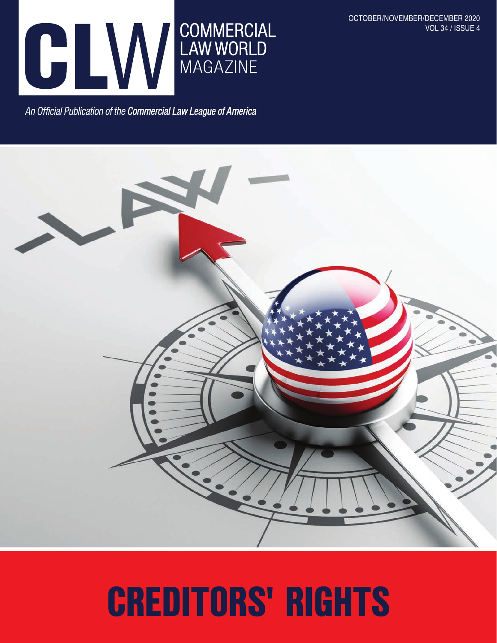

OCTOBER/NOVEMBER/DECEMBER 2020 VOL 34 / ISSUE 4

An Official Publication of the Commercial Law League of America



## CREDITORS' RIGHTS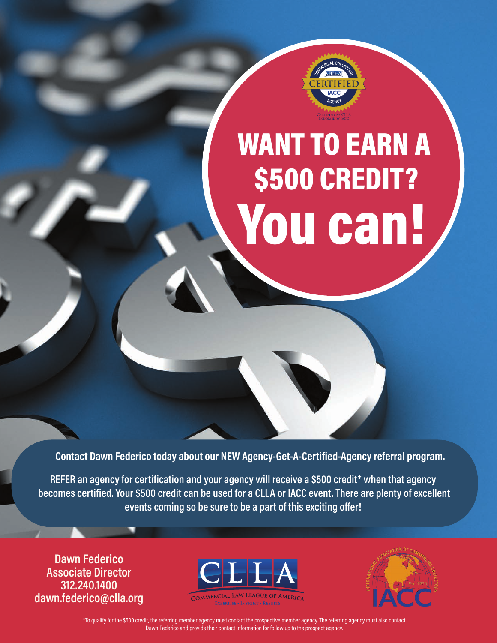

# WANT TO EARN A \$500 CREDIT? You can!

**Contact Dawn Federico today about our NEW Agency-Get-A-Certified-Agency referral program.**

**REFER an agency for certification and your agency will receive a \$500 credit\* when that agency becomes certified. Your \$500 credit can be used for a CLLA or IACC event. There are plenty of excellent events coming so be sure to be a part of this exciting offer!**

**Dawn Federico Associate Director 312.240.1400 dawn.federico@clla.org**





no qualify for the sourcrealt, the relerning member agency must contact the prospective member agency. The relerning agency must also contact their contact their contact information for follow up to the prospect agency. \*To qualify for the \$500 credit, the referring member agency must contact the prospective member agency. The referring agency must also contact